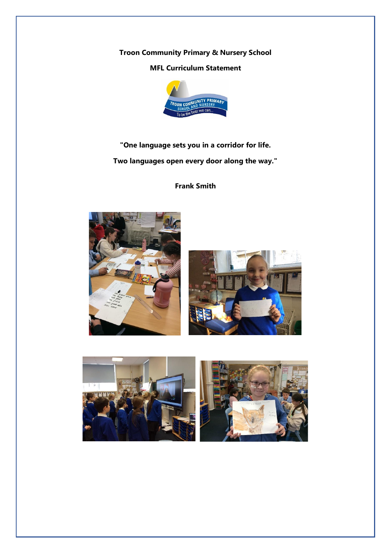## **Troon Community Primary & Nursery School**

# **MFL Curriculum Statement**



**"One language sets you in a corridor for life. Two languages open every door along the way."**

**Frank Smith**





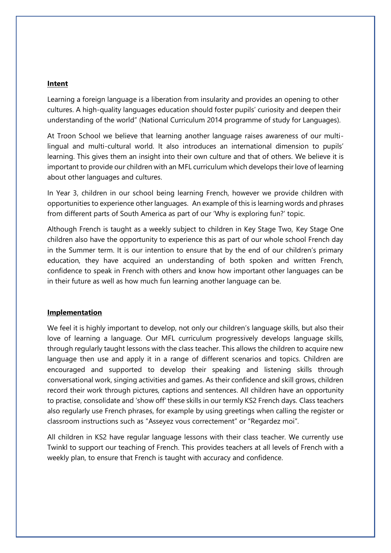### **Intent**

Learning a foreign language is a liberation from insularity and provides an opening to other cultures. A high-quality languages education should foster pupils' curiosity and deepen their understanding of the world" (National Curriculum 2014 programme of study for Languages).

At Troon School we believe that learning another language raises awareness of our multilingual and multi-cultural world. It also introduces an international dimension to pupils' learning. This gives them an insight into their own culture and that of others. We believe it is important to provide our children with an MFL curriculum which develops their love of learning about other languages and cultures.

In Year 3, children in our school being learning French, however we provide children with opportunities to experience other languages. An example of this is learning words and phrases from different parts of South America as part of our 'Why is exploring fun?' topic.

Although French is taught as a weekly subject to children in Key Stage Two, Key Stage One children also have the opportunity to experience this as part of our whole school French day in the Summer term. It is our intention to ensure that by the end of our children's primary education, they have acquired an understanding of both spoken and written French, confidence to speak in French with others and know how important other languages can be in their future as well as how much fun learning another language can be.

#### **Implementation**

We feel it is highly important to develop, not only our children's language skills, but also their love of learning a language. Our MFL curriculum progressively develops language skills, through regularly taught lessons with the class teacher. This allows the children to acquire new language then use and apply it in a range of different scenarios and topics. Children are encouraged and supported to develop their speaking and listening skills through conversational work, singing activities and games. As their confidence and skill grows, children record their work through pictures, captions and sentences. All children have an opportunity to practise, consolidate and 'show off' these skills in our termly KS2 French days. Class teachers also regularly use French phrases, for example by using greetings when calling the register or classroom instructions such as "Asseyez vous correctement" or "Regardez moi".

All children in KS2 have regular language lessons with their class teacher. We currently use Twinkl to support our teaching of French. This provides teachers at all levels of French with a weekly plan, to ensure that French is taught with accuracy and confidence.